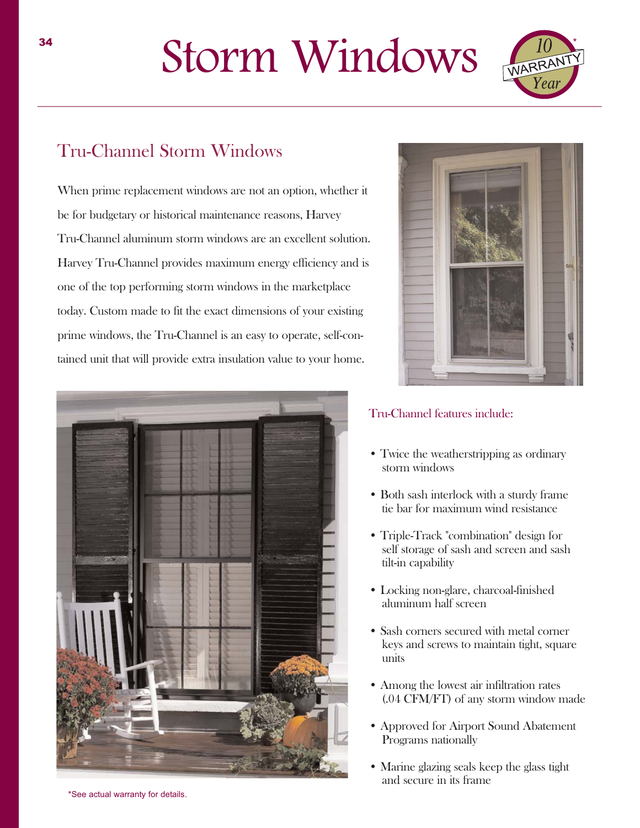## Storm Windows



## Tru-Channel Storm Windows

When prime replacement windows are not an option, whether it be for budgetary or historical maintenance reasons, Harvey Tru-Channel aluminum storm windows are an excellent solution. Harvey Tru-Channel provides maximum energy efficiency and is one of the top performing storm windows in the marketplace today. Custom made to fit the exact dimensions of your existing prime windows, the Tru-Channel is an easy to operate, self-contained unit that will provide extra insulation value to your home.





## Tru-Channel features include:

- Twice the weatherstripping as ordinary storm windows
- Both sash interlock with a sturdy frame tie bar for maximum wind resistance
- Triple-Track "combination" design for self storage of sash and screen and sash tilt-in capability
- Locking non-glare, charcoal-finished aluminum half screen
- Sash corners secured with metal corner keys and screws to maintain tight, square units
- Among the lowest air infiltration rates (.04 CFM/FT) of any storm window made
- Approved for Airport Sound Abatement Programs nationally
- Marine glazing seals keep the glass tight and secure in its frame

\*See actual warranty for details.